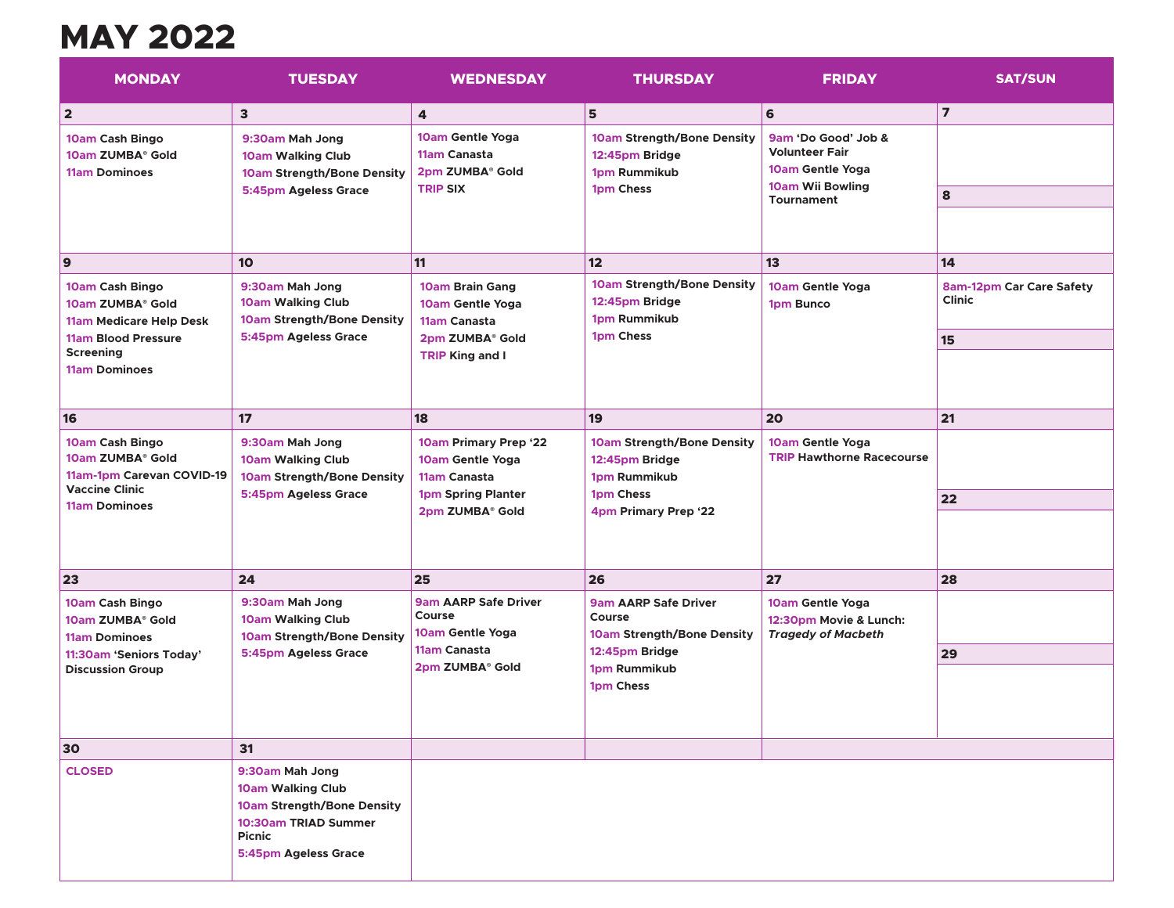## **MAY 2022**

| <b>MONDAY</b>                                                                                                     | <b>TUESDAY</b>                                                                                                                             | <b>WEDNESDAY</b>                                                                                   | <b>THURSDAY</b>                                                                                   | <b>FRIDAY</b>                                                                                      | <b>SAT/SUN</b>                                         |
|-------------------------------------------------------------------------------------------------------------------|--------------------------------------------------------------------------------------------------------------------------------------------|----------------------------------------------------------------------------------------------------|---------------------------------------------------------------------------------------------------|----------------------------------------------------------------------------------------------------|--------------------------------------------------------|
| $\overline{\mathbf{2}}$                                                                                           | $\overline{\mathbf{3}}$                                                                                                                    | 4                                                                                                  | 5                                                                                                 | 6                                                                                                  | $\overline{7}$                                         |
| 10am Cash Bingo<br>10am ZUMBA® Gold<br><b>11am Dominoes</b>                                                       | 9:30am Mah Jong<br><b>10am Walking Club</b><br>10am Strength/Bone Density<br>5:45pm Ageless Grace                                          | 10am Gentle Yoga<br>11am Canasta<br>2pm ZUMBA® Gold<br><b>TRIP SIX</b>                             | 10am Strength/Bone Density<br>12:45pm Bridge<br>1pm Rummikub<br>1pm Chess                         | 9am 'Do Good' Job &<br><b>Volunteer Fair</b><br>10am Gentle Yoga<br>10am Wii Bowling<br>Tournament | 8                                                      |
| $\mathbf{9}$                                                                                                      | 10                                                                                                                                         | 11                                                                                                 | 12                                                                                                | 13                                                                                                 | 14                                                     |
| 10am Cash Bingo<br>10am ZUMBA® Gold<br>11am Medicare Help Desk<br>11am Blood Pressure                             | 9:30am Mah Jong<br><b>10am Walking Club</b><br>10am Strength/Bone Density<br>5:45pm Ageless Grace                                          | 10am Brain Gang<br>10am Gentle Yoga<br>11am Canasta<br>2pm ZUMBA® Gold                             | 10am Strength/Bone Density<br>12:45pm Bridge<br>1pm Rummikub<br>1pm Chess                         | 10am Gentle Yoga<br><b>1pm Bunco</b>                                                               | 8am-12pm Car Care Safety<br><b>Clinic</b><br><b>15</b> |
| <b>Screening</b><br><b>11am Dominoes</b>                                                                          |                                                                                                                                            | <b>TRIP King and I</b>                                                                             |                                                                                                   |                                                                                                    |                                                        |
| 16                                                                                                                | 17                                                                                                                                         | 18                                                                                                 | 19                                                                                                | 20                                                                                                 | 21                                                     |
| 10am Cash Bingo<br>10am ZUMBA® Gold<br>11am-1pm Carevan COVID-19<br><b>Vaccine Clinic</b><br><b>11am Dominoes</b> | 9:30am Mah Jong<br><b>10am Walking Club</b><br>10am Strength/Bone Density<br>5:45pm Ageless Grace                                          | 10am Primary Prep '22<br>10am Gentle Yoga<br>11am Canasta<br>1pm Spring Planter<br>2pm ZUMBA® Gold | 10am Strength/Bone Density<br>12:45pm Bridge<br>1pm Rummikub<br>1pm Chess<br>4pm Primary Prep '22 | 10am Gentle Yoga<br><b>TRIP Hawthorne Racecourse</b>                                               |                                                        |
|                                                                                                                   |                                                                                                                                            |                                                                                                    |                                                                                                   |                                                                                                    | 22                                                     |
|                                                                                                                   |                                                                                                                                            |                                                                                                    |                                                                                                   |                                                                                                    |                                                        |
| 23                                                                                                                | 24                                                                                                                                         | 25                                                                                                 | 26                                                                                                | 27                                                                                                 | 28                                                     |
| 10am Cash Bingo<br>10am ZUMBA® Gold<br><b>11am Dominoes</b>                                                       | 9:30am Mah Jong<br><b>10am Walking Club</b><br>10am Strength/Bone Density                                                                  | <b>9am AARP Safe Driver</b><br>Course<br>10am Gentle Yoga                                          | <b>9am AARP Safe Driver</b><br>Course<br>10am Strength/Bone Density                               | 10am Gentle Yoga<br>12:30pm Movie & Lunch:<br><b>Tragedy of Macbeth</b>                            |                                                        |
| 11:30am 'Seniors Today'<br><b>Discussion Group</b>                                                                | 5:45pm Ageless Grace                                                                                                                       | 11am Canasta<br>2pm ZUMBA® Gold                                                                    | 12:45pm Bridge<br>1pm Rummikub<br>1pm Chess                                                       |                                                                                                    | 29                                                     |
|                                                                                                                   |                                                                                                                                            |                                                                                                    |                                                                                                   |                                                                                                    |                                                        |
| 30                                                                                                                | 31                                                                                                                                         |                                                                                                    |                                                                                                   |                                                                                                    |                                                        |
| <b>CLOSED</b>                                                                                                     | 9:30am Mah Jong<br><b>10am Walking Club</b><br>10am Strength/Bone Density<br>10:30am TRIAD Summer<br><b>Picnic</b><br>5:45pm Ageless Grace |                                                                                                    |                                                                                                   |                                                                                                    |                                                        |